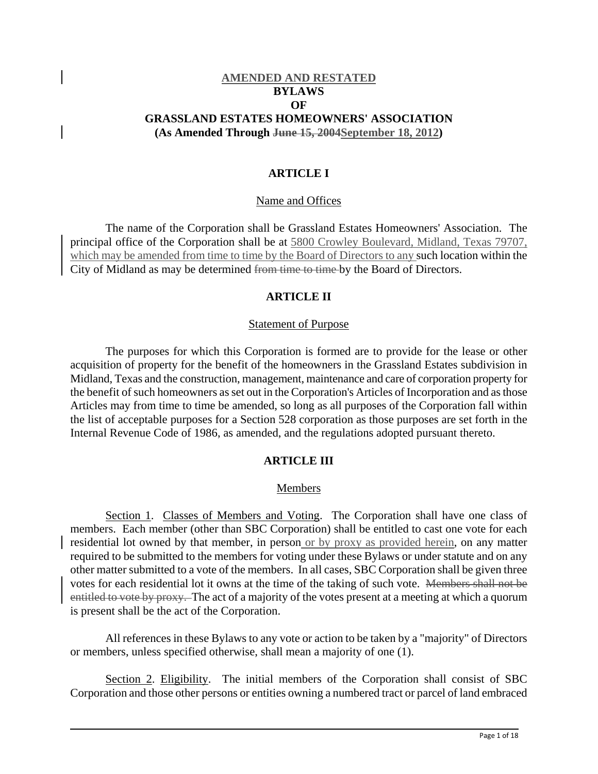# **AMENDED AND RESTATED BYLAWS OF GRASSLAND ESTATES HOMEOWNERS' ASSOCIATION (As Amended Through June 15, 2004September 18, 2012)**

#### **ARTICLE I**

#### Name and Offices

The name of the Corporation shall be Grassland Estates Homeowners' Association. The principal office of the Corporation shall be at 5800 Crowley Boulevard, Midland, Texas 79707, which may be amended from time to time by the Board of Directors to any such location within the City of Midland as may be determined from time to time by the Board of Directors.

#### **ARTICLE II**

#### Statement of Purpose

The purposes for which this Corporation is formed are to provide for the lease or other acquisition of property for the benefit of the homeowners in the Grassland Estates subdivision in Midland, Texas and the construction, management, maintenance and care of corporation property for the benefit of such homeowners as set out in the Corporation's Articles of Incorporation and as those Articles may from time to time be amended, so long as all purposes of the Corporation fall within the list of acceptable purposes for a Section 528 corporation as those purposes are set forth in the Internal Revenue Code of 1986, as amended, and the regulations adopted pursuant thereto.

#### **ARTICLE III**

#### **Members**

Section 1. Classes of Members and Voting. The Corporation shall have one class of members. Each member (other than SBC Corporation) shall be entitled to cast one vote for each residential lot owned by that member, in person or by proxy as provided herein, on any matter required to be submitted to the members for voting under these Bylaws or under statute and on any other matter submitted to a vote of the members. In all cases, SBC Corporation shall be given three votes for each residential lot it owns at the time of the taking of such vote. Members shall not be entitled to vote by proxy. The act of a majority of the votes present at a meeting at which a quorum is present shall be the act of the Corporation.

All references in these Bylaws to any vote or action to be taken by a "majority" of Directors or members, unless specified otherwise, shall mean a majority of one (1).

Section 2. Eligibility. The initial members of the Corporation shall consist of SBC Corporation and those other persons or entities owning a numbered tract or parcel of land embraced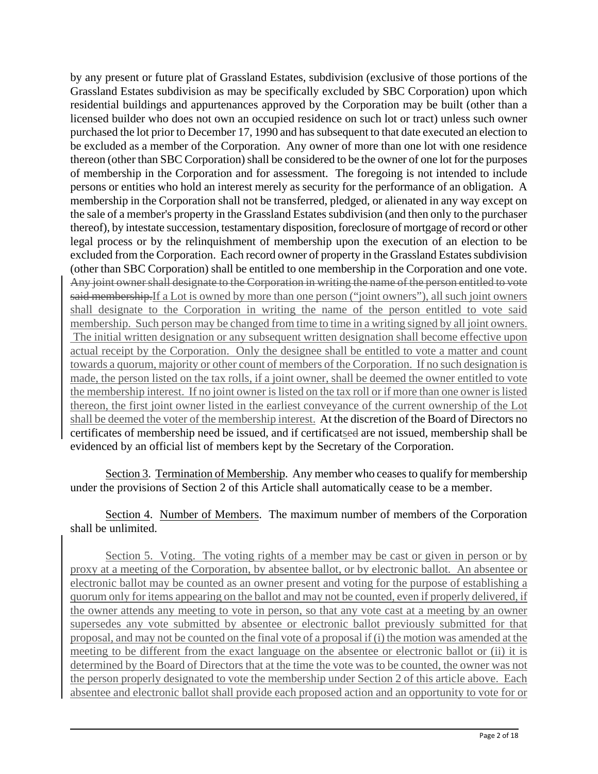by any present or future plat of Grassland Estates, subdivision (exclusive of those portions of the Grassland Estates subdivision as may be specifically excluded by SBC Corporation) upon which residential buildings and appurtenances approved by the Corporation may be built (other than a licensed builder who does not own an occupied residence on such lot or tract) unless such owner purchased the lot prior to December 17, 1990 and has subsequent to that date executed an election to be excluded as a member of the Corporation. Any owner of more than one lot with one residence thereon (other than SBC Corporation) shall be considered to be the owner of one lot for the purposes of membership in the Corporation and for assessment. The foregoing is not intended to include persons or entities who hold an interest merely as security for the performance of an obligation. A membership in the Corporation shall not be transferred, pledged, or alienated in any way except on the sale of a member's property in the Grassland Estates subdivision (and then only to the purchaser thereof), by intestate succession, testamentary disposition, foreclosure of mortgage of record or other legal process or by the relinquishment of membership upon the execution of an election to be excluded from the Corporation. Each record owner of property in the Grassland Estates subdivision (other than SBC Corporation) shall be entitled to one membership in the Corporation and one vote. Any joint owner shall designate to the Corporation in writing the name of the person entitled to vote said membership.If a Lot is owned by more than one person ("joint owners"), all such joint owners shall designate to the Corporation in writing the name of the person entitled to vote said membership. Such person may be changed from time to time in a writing signed by all joint owners. The initial written designation or any subsequent written designation shall become effective upon actual receipt by the Corporation. Only the designee shall be entitled to vote a matter and count towards a quorum, majority or other count of members of the Corporation. If no such designation is made, the person listed on the tax rolls, if a joint owner, shall be deemed the owner entitled to vote the membership interest. If no joint owner is listed on the tax roll or if more than one owner is listed thereon, the first joint owner listed in the earliest conveyance of the current ownership of the Lot shall be deemed the voter of the membership interest. At the discretion of the Board of Directors no certificates of membership need be issued, and if certificatsed are not issued, membership shall be evidenced by an official list of members kept by the Secretary of the Corporation.

Section 3. Termination of Membership. Any member who ceases to qualify for membership under the provisions of Section 2 of this Article shall automatically cease to be a member.

Section 4. Number of Members. The maximum number of members of the Corporation shall be unlimited.

Section 5. Voting. The voting rights of a member may be cast or given in person or by proxy at a meeting of the Corporation, by absentee ballot, or by electronic ballot. An absentee or electronic ballot may be counted as an owner present and voting for the purpose of establishing a quorum only for items appearing on the ballot and may not be counted, even if properly delivered, if the owner attends any meeting to vote in person, so that any vote cast at a meeting by an owner supersedes any vote submitted by absentee or electronic ballot previously submitted for that proposal, and may not be counted on the final vote of a proposal if (i) the motion was amended at the meeting to be different from the exact language on the absentee or electronic ballot or (ii) it is determined by the Board of Directors that at the time the vote was to be counted, the owner was not the person properly designated to vote the membership under Section 2 of this article above. Each absentee and electronic ballot shall provide each proposed action and an opportunity to vote for or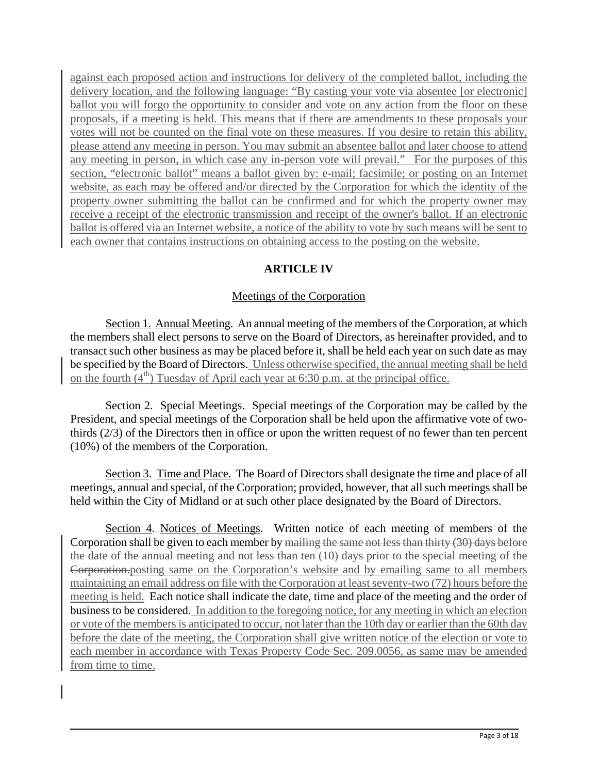against each proposed action and instructions for delivery of the completed ballot, including the delivery location, and the following language: "By casting your vote via absentee [or electronic] ballot you will forgo the opportunity to consider and vote on any action from the floor on these proposals, if a meeting is held. This means that if there are amendments to these proposals your votes will not be counted on the final vote on these measures. If you desire to retain this ability, please attend any meeting in person. You may submit an absentee ballot and later choose to attend any meeting in person, in which case any in-person vote will prevail." For the purposes of this section, "electronic ballot" means a ballot given by: e-mail; facsimile; or posting on an Internet website, as each may be offered and/or directed by the Corporation for which the identity of the property owner submitting the ballot can be confirmed and for which the property owner may receive a receipt of the electronic transmission and receipt of the owner's ballot. If an electronic ballot is offered via an Internet website, a notice of the ability to vote by such means will be sent to each owner that contains instructions on obtaining access to the posting on the website.

# **ARTICLE IV**

# Meetings of the Corporation

Section 1. Annual Meeting. An annual meeting of the members of the Corporation, at which the members shall elect persons to serve on the Board of Directors, as hereinafter provided, and to transact such other business as may be placed before it, shall be held each year on such date as may be specified by the Board of Directors. Unless otherwise specified, the annual meeting shall be held on the fourth  $(4<sup>th</sup>)$  Tuesday of April each year at 6:30 p.m. at the principal office.

Section 2. Special Meetings. Special meetings of the Corporation may be called by the President, and special meetings of the Corporation shall be held upon the affirmative vote of twothirds (2/3) of the Directors then in office or upon the written request of no fewer than ten percent (10%) of the members of the Corporation.

Section 3. Time and Place. The Board of Directors shall designate the time and place of all meetings, annual and special, of the Corporation; provided, however, that all such meetings shall be held within the City of Midland or at such other place designated by the Board of Directors.

Section 4. Notices of Meetings. Written notice of each meeting of members of the Corporation shall be given to each member by mailing the same not less than thirty (30) days before the date of the annual meeting and not less than ten (10) days prior to the special meeting of the Corporation.posting same on the Corporation's website and by emailing same to all members maintaining an email address on file with the Corporation at least seventy-two (72) hours before the meeting is held. Each notice shall indicate the date, time and place of the meeting and the order of business to be considered. In addition to the foregoing notice, for any meeting in which an election or vote of the members is anticipated to occur, not later than the 10th day or earlier than the 60th day before the date of the meeting, the Corporation shall give written notice of the election or vote to each member in accordance with Texas Property Code Sec. 209.0056, as same may be amended from time to time.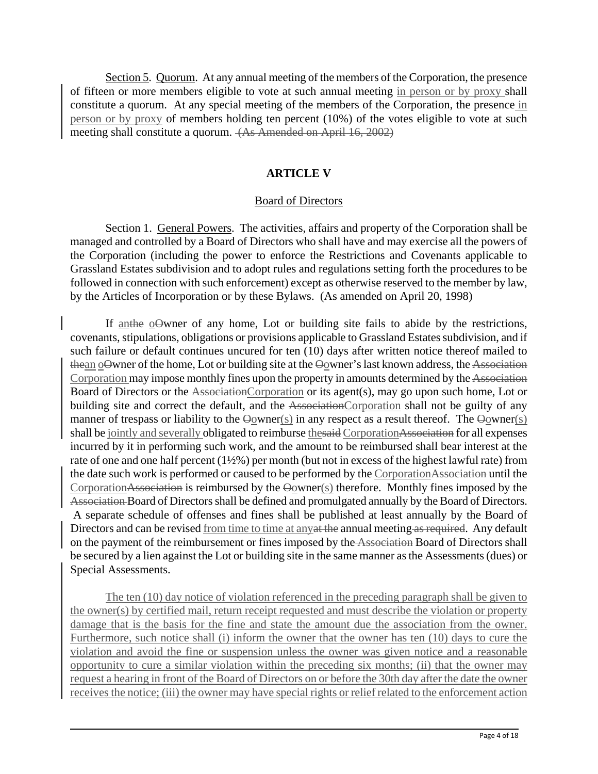Section 5. Quorum. At any annual meeting of the members of the Corporation, the presence of fifteen or more members eligible to vote at such annual meeting in person or by proxy shall constitute a quorum. At any special meeting of the members of the Corporation, the presence in person or by proxy of members holding ten percent (10%) of the votes eligible to vote at such meeting shall constitute a quorum. (As Amended on April 16, 2002)

#### **ARTICLE V**

#### Board of Directors

Section 1. General Powers. The activities, affairs and property of the Corporation shall be managed and controlled by a Board of Directors who shall have and may exercise all the powers of the Corporation (including the power to enforce the Restrictions and Covenants applicable to Grassland Estates subdivision and to adopt rules and regulations setting forth the procedures to be followed in connection with such enforcement) except as otherwise reserved to the member by law, by the Articles of Incorporation or by these Bylaws. (As amended on April 20, 1998)

If anthe oOwner of any home, Lot or building site fails to abide by the restrictions, covenants, stipulations, obligations or provisions applicable to Grassland Estates subdivision, and if such failure or default continues uncured for ten (10) days after written notice thereof mailed to thean oOwner of the home, Lot or building site at the Oowner's last known address, the Association Corporation may impose monthly fines upon the property in amounts determined by the Association Board of Directors or the AssociationCorporation or its agent(s), may go upon such home, Lot or building site and correct the default, and the AssociationCorporation shall not be guilty of any manner of trespass or liability to the  $\Theta$ owner(s) in any respect as a result thereof. The  $\Theta$ owner(s) shall be jointly and severally obligated to reimburse thesaid CorporationAssociation for all expenses incurred by it in performing such work, and the amount to be reimbursed shall bear interest at the rate of one and one half percent (1½%) per month (but not in excess of the highest lawful rate) from the date such work is performed or caused to be performed by the CorporationAssociation until the CorporationAssociation is reimbursed by the Oowner(s) therefore. Monthly fines imposed by the Association Board of Directors shall be defined and promulgated annually by the Board of Directors. A separate schedule of offenses and fines shall be published at least annually by the Board of Directors and can be revised from time to time at any at the annual meeting as required. Any default on the payment of the reimbursement or fines imposed by the Association Board of Directors shall be secured by a lien against the Lot or building site in the same manner as the Assessments (dues) or Special Assessments.

The ten (10) day notice of violation referenced in the preceding paragraph shall be given to the owner(s) by certified mail, return receipt requested and must describe the violation or property damage that is the basis for the fine and state the amount due the association from the owner. Furthermore, such notice shall (i) inform the owner that the owner has ten (10) days to cure the violation and avoid the fine or suspension unless the owner was given notice and a reasonable opportunity to cure a similar violation within the preceding six months; (ii) that the owner may request a hearing in front of the Board of Directors on or before the 30th day after the date the owner receives the notice; (iii) the owner may have special rights or relief related to the enforcement action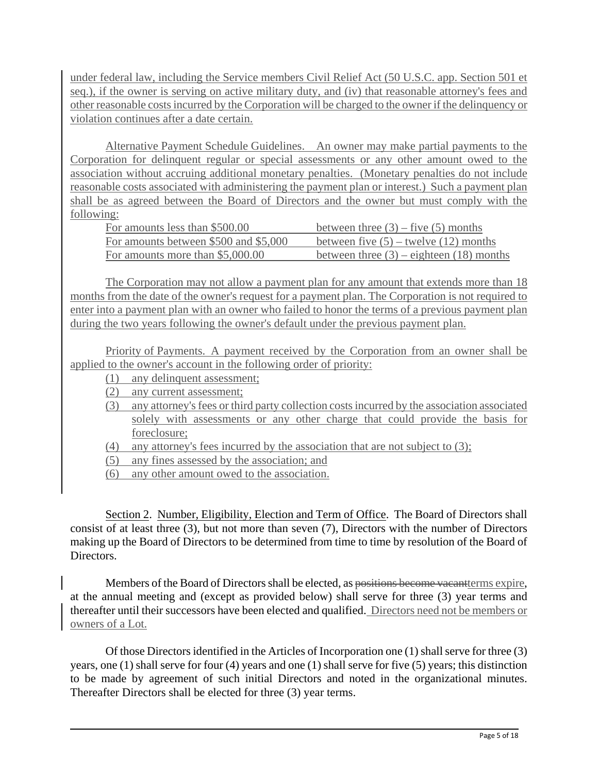under federal law, including the Service members Civil Relief Act (50 U.S.C. app. Section 501 et seq.), if the owner is serving on active military duty, and (iv) that reasonable attorney's fees and other reasonable costs incurred by the Corporation will be charged to the owner if the delinquency or violation continues after a date certain.

Alternative Payment Schedule Guidelines. An owner may make partial payments to the Corporation for delinquent regular or special assessments or any other amount owed to the association without accruing additional monetary penalties. (Monetary penalties do not include reasonable costs associated with administering the payment plan or interest.) Such a payment plan shall be as agreed between the Board of Directors and the owner but must comply with the following:

| For amounts less than \$500.00        | between three $(3)$ – five $(5)$ months      |
|---------------------------------------|----------------------------------------------|
| For amounts between \$500 and \$5,000 | between five $(5)$ – twelve $(12)$ months    |
| For amounts more than \$5,000.00      | between three $(3)$ – eighteen $(18)$ months |

The Corporation may not allow a payment plan for any amount that extends more than 18 months from the date of the owner's request for a payment plan. The Corporation is not required to enter into a payment plan with an owner who failed to honor the terms of a previous payment plan during the two years following the owner's default under the previous payment plan.

Priority of Payments. A payment received by the Corporation from an owner shall be applied to the owner's account in the following order of priority:

- (1) any delinquent assessment;
- (2) any current assessment;
- (3) any attorney's fees or third party collection costs incurred by the association associated solely with assessments or any other charge that could provide the basis for foreclosure;
- (4) any attorney's fees incurred by the association that are not subject to (3);
- (5) any fines assessed by the association; and
- (6) any other amount owed to the association.

Section 2. Number, Eligibility, Election and Term of Office. The Board of Directors shall consist of at least three (3), but not more than seven (7), Directors with the number of Directors making up the Board of Directors to be determined from time to time by resolution of the Board of **Directors** 

Members of the Board of Directors shall be elected, as positions become vacantterms expire, at the annual meeting and (except as provided below) shall serve for three (3) year terms and thereafter until their successors have been elected and qualified. Directors need not be members or owners of a Lot.

Of those Directors identified in the Articles of Incorporation one (1) shall serve for three (3) years, one (1) shall serve for four (4) years and one (1) shall serve for five (5) years; this distinction to be made by agreement of such initial Directors and noted in the organizational minutes. Thereafter Directors shall be elected for three (3) year terms.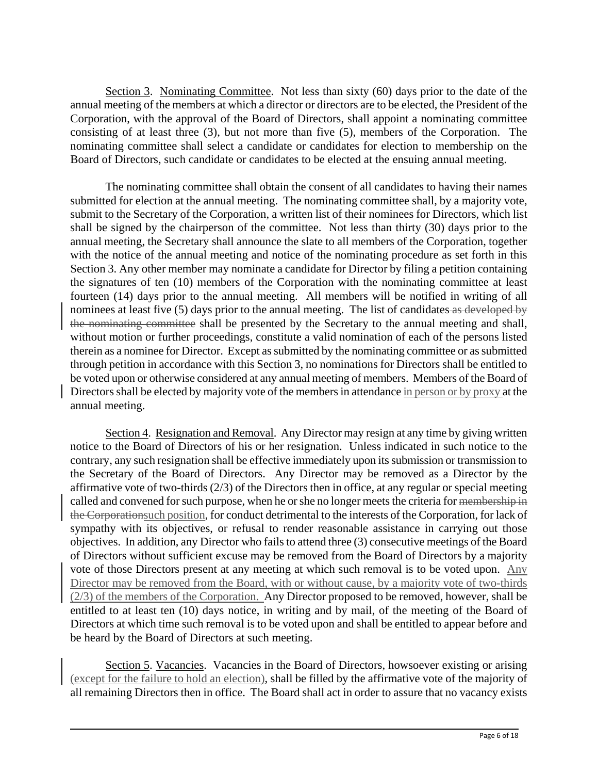Section 3. Nominating Committee. Not less than sixty (60) days prior to the date of the annual meeting of the members at which a director or directors are to be elected, the President of the Corporation, with the approval of the Board of Directors, shall appoint a nominating committee consisting of at least three (3), but not more than five (5), members of the Corporation. The nominating committee shall select a candidate or candidates for election to membership on the Board of Directors, such candidate or candidates to be elected at the ensuing annual meeting.

The nominating committee shall obtain the consent of all candidates to having their names submitted for election at the annual meeting. The nominating committee shall, by a majority vote, submit to the Secretary of the Corporation, a written list of their nominees for Directors, which list shall be signed by the chairperson of the committee. Not less than thirty (30) days prior to the annual meeting, the Secretary shall announce the slate to all members of the Corporation, together with the notice of the annual meeting and notice of the nominating procedure as set forth in this Section 3. Any other member may nominate a candidate for Director by filing a petition containing the signatures of ten (10) members of the Corporation with the nominating committee at least fourteen (14) days prior to the annual meeting. All members will be notified in writing of all nominees at least five (5) days prior to the annual meeting. The list of candidates as developed by the nominating committee shall be presented by the Secretary to the annual meeting and shall, without motion or further proceedings, constitute a valid nomination of each of the persons listed therein as a nominee for Director. Except as submitted by the nominating committee or as submitted through petition in accordance with this Section 3, no nominations for Directors shall be entitled to be voted upon or otherwise considered at any annual meeting of members. Members of the Board of Directors shall be elected by majority vote of the members in attendance in person or by proxy at the annual meeting.

Section 4. Resignation and Removal. Any Director may resign at any time by giving written notice to the Board of Directors of his or her resignation. Unless indicated in such notice to the contrary, any such resignation shall be effective immediately upon its submission or transmission to the Secretary of the Board of Directors. Any Director may be removed as a Director by the affirmative vote of two-thirds (2/3) of the Directors then in office, at any regular or special meeting called and convened for such purpose, when he or she no longer meets the criteria for membership in the Corporationsuch position, for conduct detrimental to the interests of the Corporation, for lack of sympathy with its objectives, or refusal to render reasonable assistance in carrying out those objectives. In addition, any Director who fails to attend three (3) consecutive meetings of the Board of Directors without sufficient excuse may be removed from the Board of Directors by a majority vote of those Directors present at any meeting at which such removal is to be voted upon. Any Director may be removed from the Board, with or without cause, by a majority vote of two-thirds (2/3) of the members of the Corporation. Any Director proposed to be removed, however, shall be entitled to at least ten (10) days notice, in writing and by mail, of the meeting of the Board of Directors at which time such removal is to be voted upon and shall be entitled to appear before and be heard by the Board of Directors at such meeting.

Section 5. Vacancies. Vacancies in the Board of Directors, howsoever existing or arising (except for the failure to hold an election), shall be filled by the affirmative vote of the majority of all remaining Directors then in office. The Board shall act in order to assure that no vacancy exists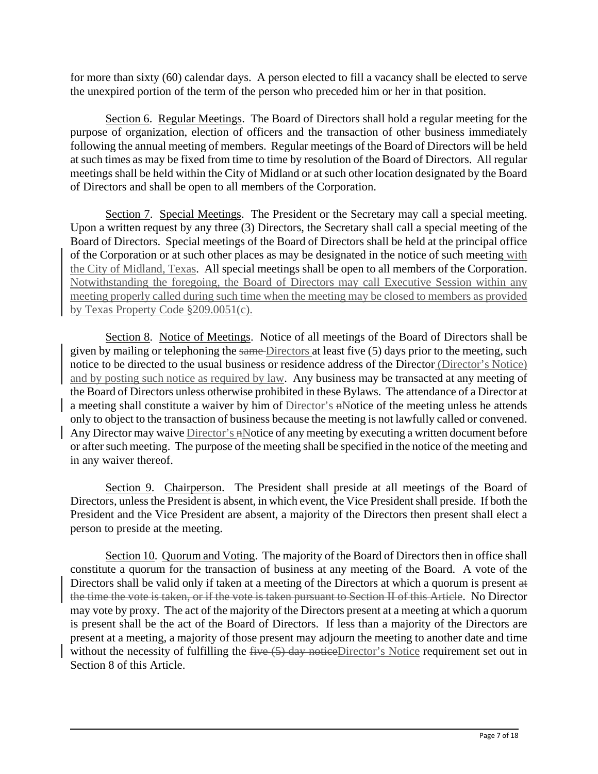for more than sixty (60) calendar days. A person elected to fill a vacancy shall be elected to serve the unexpired portion of the term of the person who preceded him or her in that position.

Section 6. Regular Meetings. The Board of Directors shall hold a regular meeting for the purpose of organization, election of officers and the transaction of other business immediately following the annual meeting of members. Regular meetings of the Board of Directors will be held at such times as may be fixed from time to time by resolution of the Board of Directors. All regular meetings shall be held within the City of Midland or at such other location designated by the Board of Directors and shall be open to all members of the Corporation.

Section 7. Special Meetings. The President or the Secretary may call a special meeting. Upon a written request by any three (3) Directors, the Secretary shall call a special meeting of the Board of Directors. Special meetings of the Board of Directors shall be held at the principal office of the Corporation or at such other places as may be designated in the notice of such meeting with the City of Midland, Texas. All special meetings shall be open to all members of the Corporation. Notwithstanding the foregoing, the Board of Directors may call Executive Session within any meeting properly called during such time when the meeting may be closed to members as provided by Texas Property Code §209.0051(c).

Section 8. Notice of Meetings. Notice of all meetings of the Board of Directors shall be given by mailing or telephoning the same Directors at least five (5) days prior to the meeting, such notice to be directed to the usual business or residence address of the Director (Director's Notice) and by posting such notice as required by law. Any business may be transacted at any meeting of the Board of Directors unless otherwise prohibited in these Bylaws. The attendance of a Director at a meeting shall constitute a waiver by him of Director's nNotice of the meeting unless he attends only to object to the transaction of business because the meeting is not lawfully called or convened. Any Director may waive Director's nNotice of any meeting by executing a written document before or after such meeting. The purpose of the meeting shall be specified in the notice of the meeting and in any waiver thereof.

Section 9. Chairperson. The President shall preside at all meetings of the Board of Directors, unless the President is absent, in which event, the Vice President shall preside. If both the President and the Vice President are absent, a majority of the Directors then present shall elect a person to preside at the meeting.

Section 10. Quorum and Voting. The majority of the Board of Directors then in office shall constitute a quorum for the transaction of business at any meeting of the Board. A vote of the Directors shall be valid only if taken at a meeting of the Directors at which a quorum is present at the time the vote is taken, or if the vote is taken pursuant to Section II of this Article. No Director may vote by proxy. The act of the majority of the Directors present at a meeting at which a quorum is present shall be the act of the Board of Directors. If less than a majority of the Directors are present at a meeting, a majority of those present may adjourn the meeting to another date and time without the necessity of fulfilling the five (5) day noticeDirector's Notice requirement set out in Section 8 of this Article.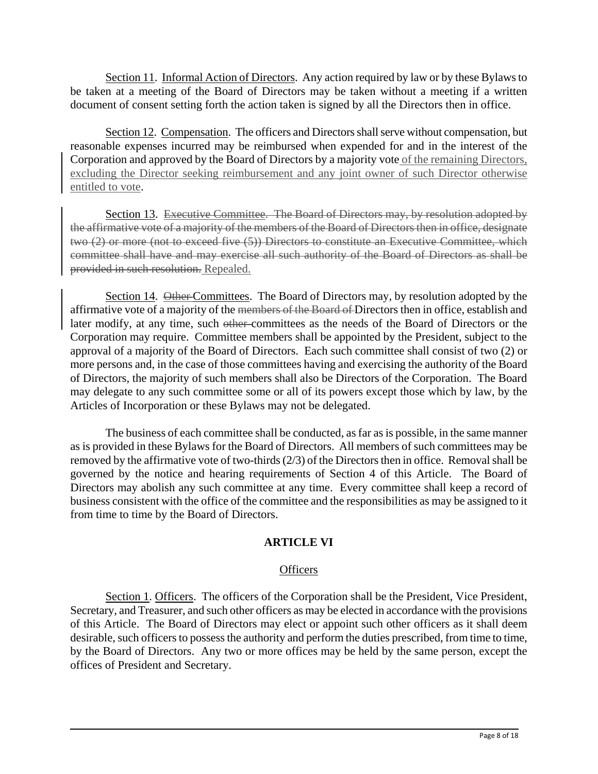Section 11. Informal Action of Directors. Any action required by law or by these Bylaws to be taken at a meeting of the Board of Directors may be taken without a meeting if a written document of consent setting forth the action taken is signed by all the Directors then in office.

Section 12. Compensation. The officers and Directors shall serve without compensation, but reasonable expenses incurred may be reimbursed when expended for and in the interest of the Corporation and approved by the Board of Directors by a majority vote of the remaining Directors, excluding the Director seeking reimbursement and any joint owner of such Director otherwise entitled to vote.

Section 13. Executive Committee. The Board of Directors may, by resolution adopted by the affirmative vote of a majority of the members of the Board of Directors then in office, designate two (2) or more (not to exceed five (5)) Directors to constitute an Executive Committee, which committee shall have and may exercise all such authority of the Board of Directors as shall be provided in such resolution. Repealed.

Section 14. Other Committees. The Board of Directors may, by resolution adopted by the affirmative vote of a majority of the members of the Board of Directors then in office, establish and later modify, at any time, such other committees as the needs of the Board of Directors or the Corporation may require. Committee members shall be appointed by the President, subject to the approval of a majority of the Board of Directors. Each such committee shall consist of two (2) or more persons and, in the case of those committees having and exercising the authority of the Board of Directors, the majority of such members shall also be Directors of the Corporation. The Board may delegate to any such committee some or all of its powers except those which by law, by the Articles of Incorporation or these Bylaws may not be delegated.

The business of each committee shall be conducted, as far as is possible, in the same manner as is provided in these Bylaws for the Board of Directors. All members of such committees may be removed by the affirmative vote of two-thirds (2/3) of the Directors then in office. Removal shall be governed by the notice and hearing requirements of Section 4 of this Article. The Board of Directors may abolish any such committee at any time. Every committee shall keep a record of business consistent with the office of the committee and the responsibilities as may be assigned to it from time to time by the Board of Directors.

# **ARTICLE VI**

## **Officers**

Section 1. Officers. The officers of the Corporation shall be the President, Vice President, Secretary, and Treasurer, and such other officers as may be elected in accordance with the provisions of this Article. The Board of Directors may elect or appoint such other officers as it shall deem desirable, such officers to possess the authority and perform the duties prescribed, from time to time, by the Board of Directors. Any two or more offices may be held by the same person, except the offices of President and Secretary.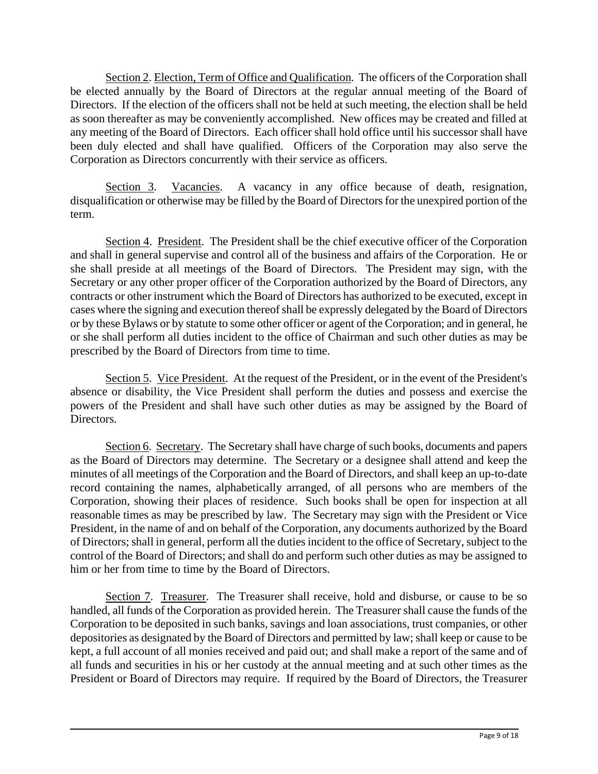Section 2. Election, Term of Office and Qualification. The officers of the Corporation shall be elected annually by the Board of Directors at the regular annual meeting of the Board of Directors. If the election of the officers shall not be held at such meeting, the election shall be held as soon thereafter as may be conveniently accomplished. New offices may be created and filled at any meeting of the Board of Directors. Each officer shall hold office until his successor shall have been duly elected and shall have qualified. Officers of the Corporation may also serve the Corporation as Directors concurrently with their service as officers.

Section 3. Vacancies. A vacancy in any office because of death, resignation, disqualification or otherwise may be filled by the Board of Directors for the unexpired portion of the term.

Section 4. President. The President shall be the chief executive officer of the Corporation and shall in general supervise and control all of the business and affairs of the Corporation. He or she shall preside at all meetings of the Board of Directors. The President may sign, with the Secretary or any other proper officer of the Corporation authorized by the Board of Directors, any contracts or other instrument which the Board of Directors has authorized to be executed, except in cases where the signing and execution thereof shall be expressly delegated by the Board of Directors or by these Bylaws or by statute to some other officer or agent of the Corporation; and in general, he or she shall perform all duties incident to the office of Chairman and such other duties as may be prescribed by the Board of Directors from time to time.

Section 5. Vice President. At the request of the President, or in the event of the President's absence or disability, the Vice President shall perform the duties and possess and exercise the powers of the President and shall have such other duties as may be assigned by the Board of Directors.

Section 6. Secretary. The Secretary shall have charge of such books, documents and papers as the Board of Directors may determine. The Secretary or a designee shall attend and keep the minutes of all meetings of the Corporation and the Board of Directors, and shall keep an up-to-date record containing the names, alphabetically arranged, of all persons who are members of the Corporation, showing their places of residence. Such books shall be open for inspection at all reasonable times as may be prescribed by law. The Secretary may sign with the President or Vice President, in the name of and on behalf of the Corporation, any documents authorized by the Board of Directors; shall in general, perform all the duties incident to the office of Secretary, subject to the control of the Board of Directors; and shall do and perform such other duties as may be assigned to him or her from time to time by the Board of Directors.

Section 7. Treasurer. The Treasurer shall receive, hold and disburse, or cause to be so handled, all funds of the Corporation as provided herein. The Treasurer shall cause the funds of the Corporation to be deposited in such banks, savings and loan associations, trust companies, or other depositories as designated by the Board of Directors and permitted by law; shall keep or cause to be kept, a full account of all monies received and paid out; and shall make a report of the same and of all funds and securities in his or her custody at the annual meeting and at such other times as the President or Board of Directors may require. If required by the Board of Directors, the Treasurer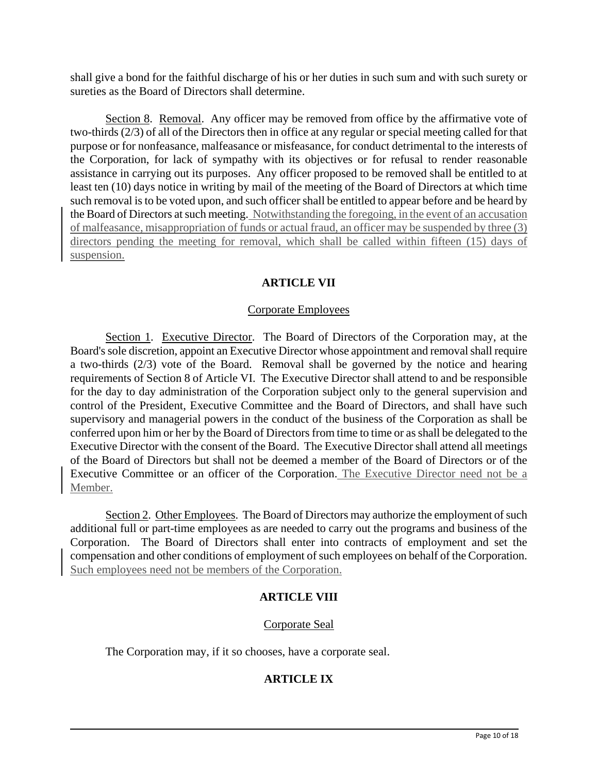shall give a bond for the faithful discharge of his or her duties in such sum and with such surety or sureties as the Board of Directors shall determine.

Section 8. Removal. Any officer may be removed from office by the affirmative vote of two-thirds (2/3) of all of the Directors then in office at any regular or special meeting called for that purpose or for nonfeasance, malfeasance or misfeasance, for conduct detrimental to the interests of the Corporation, for lack of sympathy with its objectives or for refusal to render reasonable assistance in carrying out its purposes. Any officer proposed to be removed shall be entitled to at least ten (10) days notice in writing by mail of the meeting of the Board of Directors at which time such removal is to be voted upon, and such officer shall be entitled to appear before and be heard by the Board of Directors at such meeting. Notwithstanding the foregoing, in the event of an accusation of malfeasance, misappropriation of funds or actual fraud, an officer may be suspended by three (3) directors pending the meeting for removal, which shall be called within fifteen (15) days of suspension.

# **ARTICLE VII**

## Corporate Employees

Section 1. Executive Director. The Board of Directors of the Corporation may, at the Board's sole discretion, appoint an Executive Director whose appointment and removal shall require a two-thirds (2/3) vote of the Board. Removal shall be governed by the notice and hearing requirements of Section 8 of Article VI. The Executive Director shall attend to and be responsible for the day to day administration of the Corporation subject only to the general supervision and control of the President, Executive Committee and the Board of Directors, and shall have such supervisory and managerial powers in the conduct of the business of the Corporation as shall be conferred upon him or her by the Board of Directors from time to time or as shall be delegated to the Executive Director with the consent of the Board. The Executive Director shall attend all meetings of the Board of Directors but shall not be deemed a member of the Board of Directors or of the Executive Committee or an officer of the Corporation. The Executive Director need not be a Member.

Section 2. Other Employees. The Board of Directors may authorize the employment of such additional full or part-time employees as are needed to carry out the programs and business of the Corporation. The Board of Directors shall enter into contracts of employment and set the compensation and other conditions of employment of such employees on behalf of the Corporation. Such employees need not be members of the Corporation.

# **ARTICLE VIII**

# Corporate Seal

The Corporation may, if it so chooses, have a corporate seal.

# **ARTICLE IX**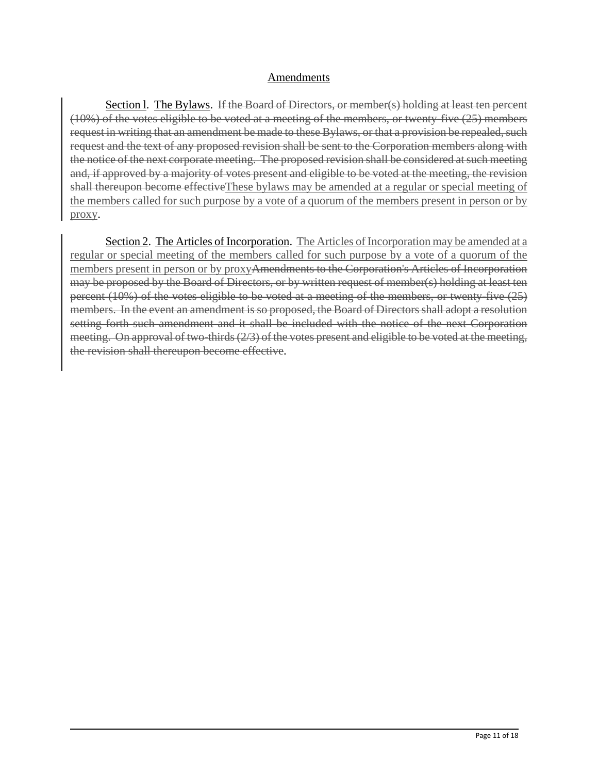# Amendments

Section I. The Bylaws. If the Board of Directors, or member(s) holding at least ten percent (10%) of the votes eligible to be voted at a meeting of the members, or twenty-five (25) members request in writing that an amendment be made to these Bylaws, or that a provision be repealed, such request and the text of any proposed revision shall be sent to the Corporation members along with the notice of the next corporate meeting. The proposed revision shall be considered at such meeting and, if approved by a majority of votes present and eligible to be voted at the meeting, the revision shall thereupon become effectiveThese bylaws may be amended at a regular or special meeting of the members called for such purpose by a vote of a quorum of the members present in person or by proxy.

Section 2. The Articles of Incorporation. The Articles of Incorporation may be amended at a regular or special meeting of the members called for such purpose by a vote of a quorum of the members present in person or by proxyAmendments to the Corporation's Articles of Incorporation may be proposed by the Board of Directors, or by written request of member(s) holding at least ten percent (10%) of the votes eligible to be voted at a meeting of the members, or twenty-five (25) members. In the event an amendment is so proposed, the Board of Directors shall adopt a resolution setting forth such amendment and it shall be included with the notice of the next Corporation meeting. On approval of two-thirds (2/3) of the votes present and eligible to be voted at the meeting, the revision shall thereupon become effective.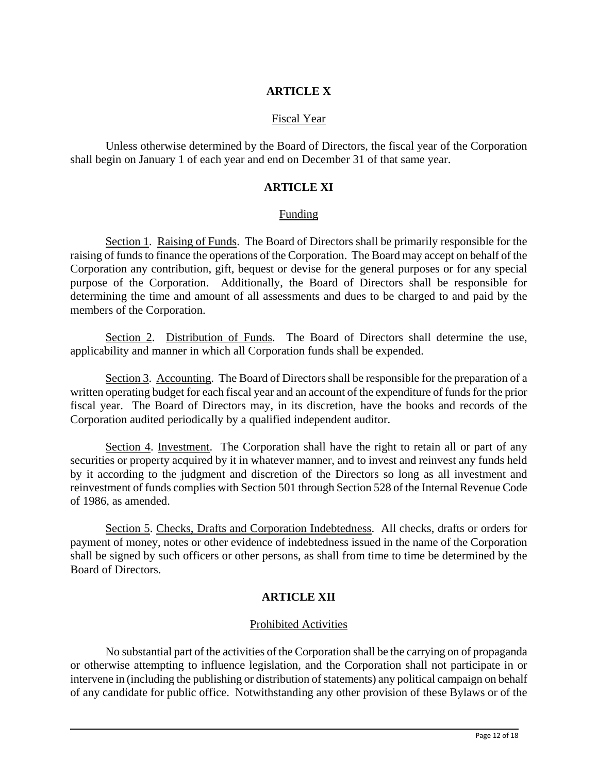# **ARTICLE X**

# Fiscal Year

Unless otherwise determined by the Board of Directors, the fiscal year of the Corporation shall begin on January 1 of each year and end on December 31 of that same year.

### **ARTICLE XI**

#### Funding

Section 1. Raising of Funds. The Board of Directors shall be primarily responsible for the raising of funds to finance the operations of the Corporation. The Board may accept on behalf of the Corporation any contribution, gift, bequest or devise for the general purposes or for any special purpose of the Corporation. Additionally, the Board of Directors shall be responsible for determining the time and amount of all assessments and dues to be charged to and paid by the members of the Corporation.

Section 2. Distribution of Funds. The Board of Directors shall determine the use, applicability and manner in which all Corporation funds shall be expended.

Section 3. Accounting. The Board of Directors shall be responsible for the preparation of a written operating budget for each fiscal year and an account of the expenditure of funds for the prior fiscal year. The Board of Directors may, in its discretion, have the books and records of the Corporation audited periodically by a qualified independent auditor.

Section 4. Investment. The Corporation shall have the right to retain all or part of any securities or property acquired by it in whatever manner, and to invest and reinvest any funds held by it according to the judgment and discretion of the Directors so long as all investment and reinvestment of funds complies with Section 501 through Section 528 of the Internal Revenue Code of 1986, as amended.

Section 5. Checks, Drafts and Corporation Indebtedness. All checks, drafts or orders for payment of money, notes or other evidence of indebtedness issued in the name of the Corporation shall be signed by such officers or other persons, as shall from time to time be determined by the Board of Directors.

# **ARTICLE XII**

## Prohibited Activities

No substantial part of the activities of the Corporation shall be the carrying on of propaganda or otherwise attempting to influence legislation, and the Corporation shall not participate in or intervene in (including the publishing or distribution of statements) any political campaign on behalf of any candidate for public office. Notwithstanding any other provision of these Bylaws or of the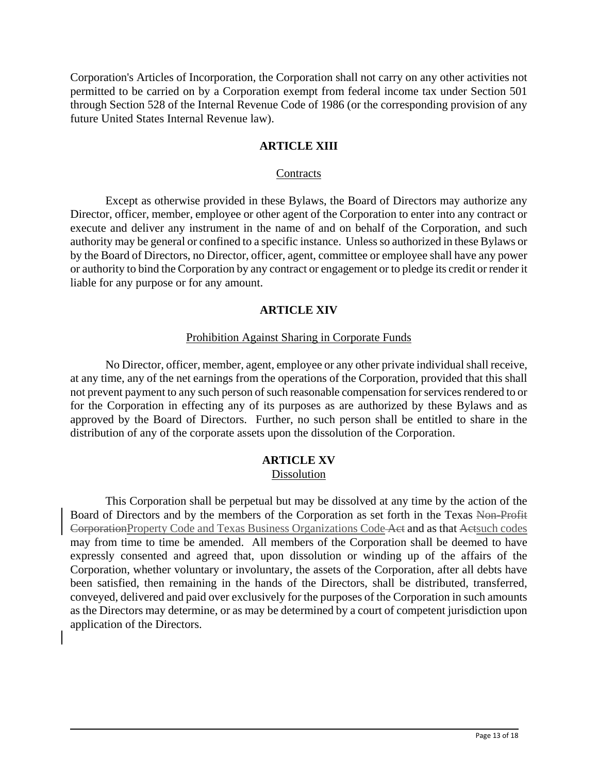Corporation's Articles of Incorporation, the Corporation shall not carry on any other activities not permitted to be carried on by a Corporation exempt from federal income tax under Section 501 through Section 528 of the Internal Revenue Code of 1986 (or the corresponding provision of any future United States Internal Revenue law).

## **ARTICLE XIII**

#### **Contracts**

Except as otherwise provided in these Bylaws, the Board of Directors may authorize any Director, officer, member, employee or other agent of the Corporation to enter into any contract or execute and deliver any instrument in the name of and on behalf of the Corporation, and such authority may be general or confined to a specific instance. Unless so authorized in these Bylaws or by the Board of Directors, no Director, officer, agent, committee or employee shall have any power or authority to bind the Corporation by any contract or engagement or to pledge its credit or render it liable for any purpose or for any amount.

## **ARTICLE XIV**

## Prohibition Against Sharing in Corporate Funds

No Director, officer, member, agent, employee or any other private individual shall receive, at any time, any of the net earnings from the operations of the Corporation, provided that this shall not prevent payment to any such person of such reasonable compensation for services rendered to or for the Corporation in effecting any of its purposes as are authorized by these Bylaws and as approved by the Board of Directors. Further, no such person shall be entitled to share in the distribution of any of the corporate assets upon the dissolution of the Corporation.

# **ARTICLE XV**

# Dissolution

This Corporation shall be perpetual but may be dissolved at any time by the action of the Board of Directors and by the members of the Corporation as set forth in the Texas Non-Profit CorporationProperty Code and Texas Business Organizations Code Act and as that Actsuch codes may from time to time be amended. All members of the Corporation shall be deemed to have expressly consented and agreed that, upon dissolution or winding up of the affairs of the Corporation, whether voluntary or involuntary, the assets of the Corporation, after all debts have been satisfied, then remaining in the hands of the Directors, shall be distributed, transferred, conveyed, delivered and paid over exclusively for the purposes of the Corporation in such amounts as the Directors may determine, or as may be determined by a court of competent jurisdiction upon application of the Directors.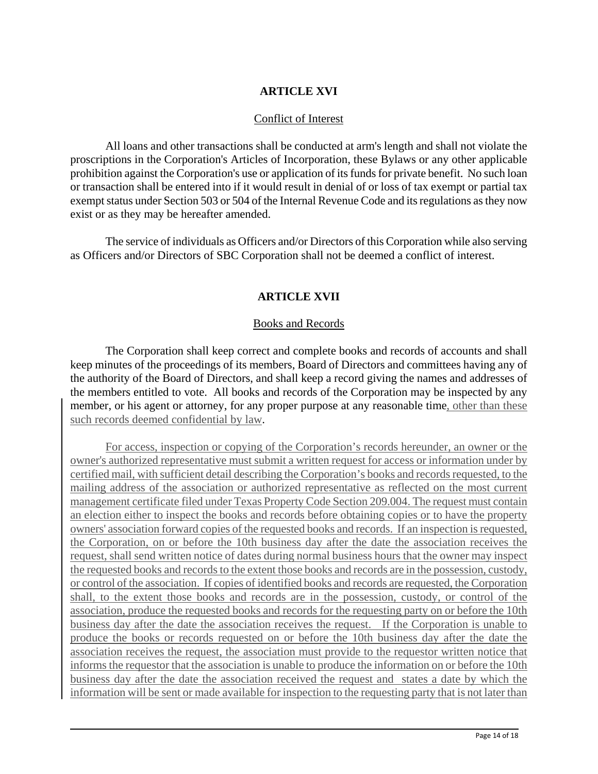# **ARTICLE XVI**

# Conflict of Interest

All loans and other transactions shall be conducted at arm's length and shall not violate the proscriptions in the Corporation's Articles of Incorporation, these Bylaws or any other applicable prohibition against the Corporation's use or application of its funds for private benefit. No such loan or transaction shall be entered into if it would result in denial of or loss of tax exempt or partial tax exempt status under Section 503 or 504 of the Internal Revenue Code and its regulations as they now exist or as they may be hereafter amended.

The service of individuals as Officers and/or Directors of this Corporation while also serving as Officers and/or Directors of SBC Corporation shall not be deemed a conflict of interest.

# **ARTICLE XVII**

#### Books and Records

The Corporation shall keep correct and complete books and records of accounts and shall keep minutes of the proceedings of its members, Board of Directors and committees having any of the authority of the Board of Directors, and shall keep a record giving the names and addresses of the members entitled to vote. All books and records of the Corporation may be inspected by any member, or his agent or attorney, for any proper purpose at any reasonable time, other than these such records deemed confidential by law.

For access, inspection or copying of the Corporation's records hereunder, an owner or the owner's authorized representative must submit a written request for access or information under by certified mail, with sufficient detail describing the Corporation's books and records requested, to the mailing address of the association or authorized representative as reflected on the most current management certificate filed under Texas Property Code Section 209.004. The request must contain an election either to inspect the books and records before obtaining copies or to have the property owners' association forward copies of the requested books and records. If an inspection is requested, the Corporation, on or before the 10th business day after the date the association receives the request, shall send written notice of dates during normal business hours that the owner may inspect the requested books and records to the extent those books and records are in the possession, custody, or control of the association. If copies of identified books and records are requested, the Corporation shall, to the extent those books and records are in the possession, custody, or control of the association, produce the requested books and records for the requesting party on or before the 10th business day after the date the association receives the request. If the Corporation is unable to produce the books or records requested on or before the 10th business day after the date the association receives the request, the association must provide to the requestor written notice that informs the requestor that the association is unable to produce the information on or before the 10th business day after the date the association received the request and states a date by which the information will be sent or made available for inspection to the requesting party that is not later than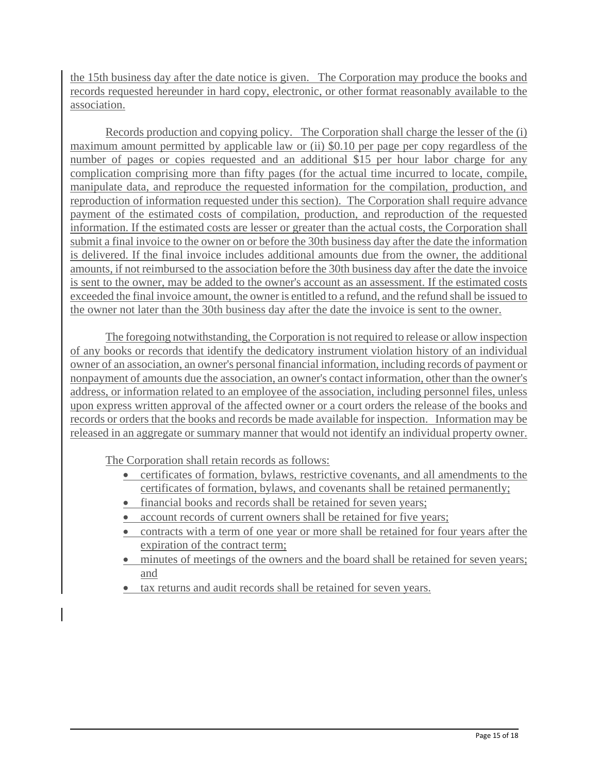the 15th business day after the date notice is given. The Corporation may produce the books and records requested hereunder in hard copy, electronic, or other format reasonably available to the association.

Records production and copying policy. The Corporation shall charge the lesser of the (i) maximum amount permitted by applicable law or (ii) \$0.10 per page per copy regardless of the number of pages or copies requested and an additional \$15 per hour labor charge for any complication comprising more than fifty pages (for the actual time incurred to locate, compile, manipulate data, and reproduce the requested information for the compilation, production, and reproduction of information requested under this section). The Corporation shall require advance payment of the estimated costs of compilation, production, and reproduction of the requested information. If the estimated costs are lesser or greater than the actual costs, the Corporation shall submit a final invoice to the owner on or before the 30th business day after the date the information is delivered. If the final invoice includes additional amounts due from the owner, the additional amounts, if not reimbursed to the association before the 30th business day after the date the invoice is sent to the owner, may be added to the owner's account as an assessment. If the estimated costs exceeded the final invoice amount, the owner is entitled to a refund, and the refund shall be issued to the owner not later than the 30th business day after the date the invoice is sent to the owner.

The foregoing notwithstanding, the Corporation is not required to release or allow inspection of any books or records that identify the dedicatory instrument violation history of an individual owner of an association, an owner's personal financial information, including records of payment or nonpayment of amounts due the association, an owner's contact information, other than the owner's address, or information related to an employee of the association, including personnel files, unless upon express written approval of the affected owner or a court orders the release of the books and records or orders that the books and records be made available for inspection. Information may be released in an aggregate or summary manner that would not identify an individual property owner.

The Corporation shall retain records as follows:

- certificates of formation, bylaws, restrictive covenants, and all amendments to the certificates of formation, bylaws, and covenants shall be retained permanently;
- financial books and records shall be retained for seven years;
- account records of current owners shall be retained for five years;
- contracts with a term of one year or more shall be retained for four years after the expiration of the contract term;
- minutes of meetings of the owners and the board shall be retained for seven years; and
- tax returns and audit records shall be retained for seven years.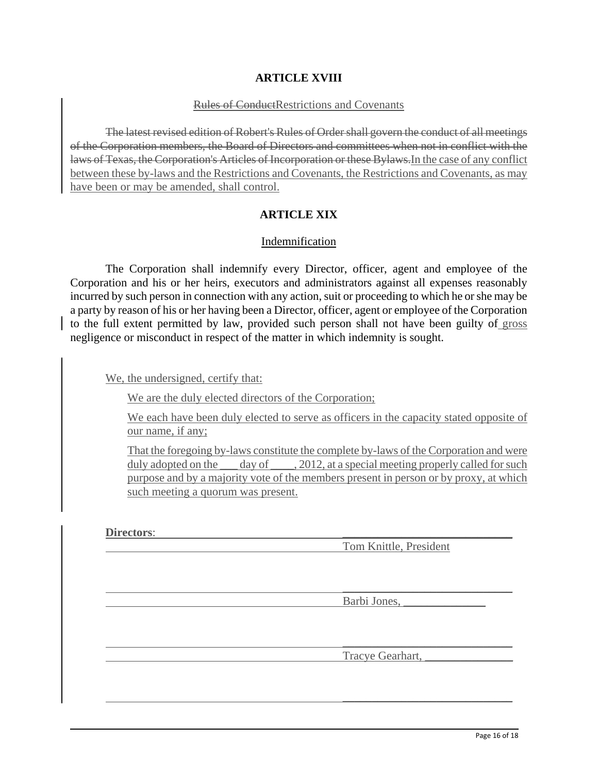# **ARTICLE XVIII**

#### Rules of ConductRestrictions and Covenants

The latest revised edition of Robert's Rules of Order shall govern the conduct of all meetings of the Corporation members, the Board of Directors and committees when not in conflict with the laws of Texas, the Corporation's Articles of Incorporation or these Bylaws.In the case of any conflict between these by-laws and the Restrictions and Covenants, the Restrictions and Covenants, as may have been or may be amended, shall control.

# **ARTICLE XIX**

## Indemnification

The Corporation shall indemnify every Director, officer, agent and employee of the Corporation and his or her heirs, executors and administrators against all expenses reasonably incurred by such person in connection with any action, suit or proceeding to which he or she may be a party by reason of his or her having been a Director, officer, agent or employee of the Corporation to the full extent permitted by law, provided such person shall not have been guilty of gross negligence or misconduct in respect of the matter in which indemnity is sought.

We, the undersigned, certify that:

We are the duly elected directors of the Corporation;

We each have been duly elected to serve as officers in the capacity stated opposite of our name, if any;

That the foregoing by-laws constitute the complete by-laws of the Corporation and were duly adopted on the \_\_\_ day of \_\_\_\_, 2012, at a special meeting properly called for such purpose and by a majority vote of the members present in person or by proxy, at which such meeting a quorum was present.

 $\mathcal{L}_\text{max}$  , and the contract of the contract of the contract of the contract of the contract of the contract of the contract of the contract of the contract of the contract of the contract of the contract of the contr

 $\mathcal{L}_\text{max}$  , and the contract of the contract of the contract of the contract of the contract of the contract of the contract of the contract of the contract of the contract of the contract of the contract of the contr

 $\mathcal{L}_\text{max}$  and  $\mathcal{L}_\text{max}$  and  $\mathcal{L}_\text{max}$  and  $\mathcal{L}_\text{max}$  and  $\mathcal{L}_\text{max}$ 

Directors:

Tom Knittle, President

Barbi Jones, \_\_\_\_\_\_\_\_\_\_\_\_\_\_

Tracye Gearhart,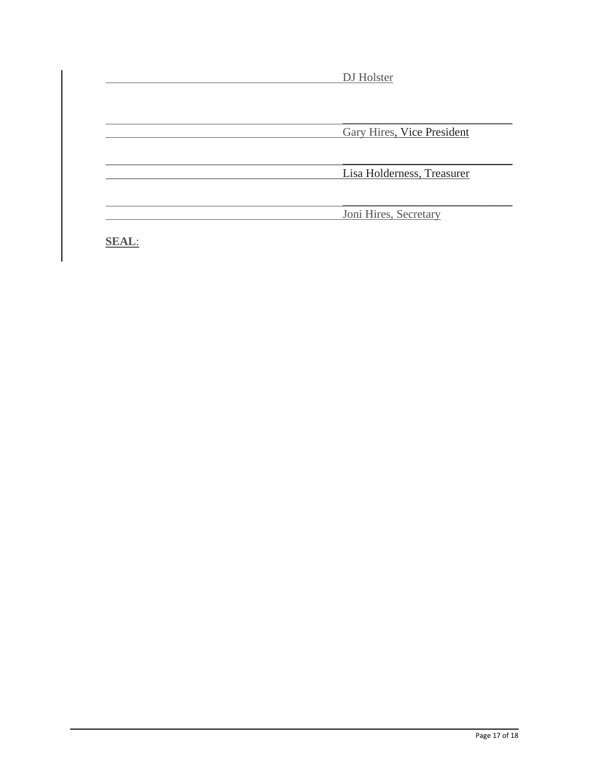| DJ Holster                 |
|----------------------------|
| Gary Hires, Vice President |
|                            |
| Lisa Holderness, Treasurer |
| Joni Hires, Secretary      |

**SEAL**: